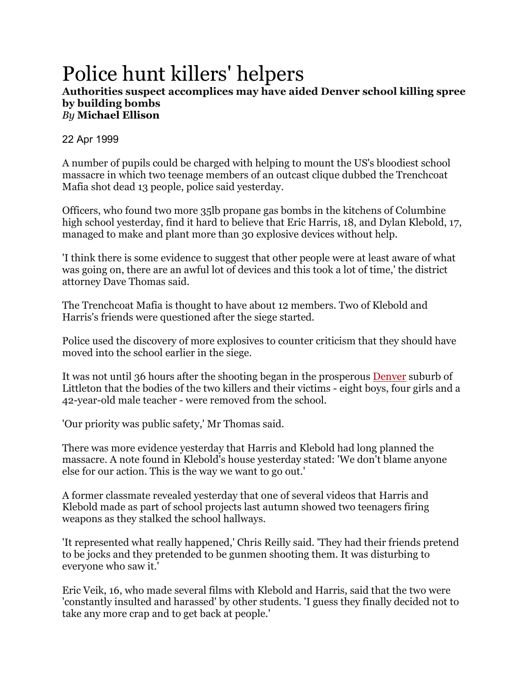## Police hunt killers' helpers

## **Authorities suspect accomplices may have aided Denver school killing spree by building bombs** *By* **[Michael Ellison](https://www.theguardian.com/profile/michaelellison)**

## 22 Apr 1999

A number of pupils could be charged with helping to mount the US's bloodiest school massacre in which two teenage members of an outcast clique dubbed the Trenchcoat Mafia shot dead 13 people, police said yesterday.

Officers, who found two more 35lb propane gas bombs in the kitchens of Columbine high school yesterday, find it hard to believe that Eric Harris, 18, and Dylan Klebold, 17, managed to make and plant more than 30 explosive devices without help.

'I think there is some evidence to suggest that other people were at least aware of what was going on, there are an awful lot of devices and this took a lot of time,' the district attorney Dave Thomas said.

The Trenchcoat Mafia is thought to have about 12 members. Two of Klebold and Harris's friends were questioned after the siege started.

Police used the discovery of more explosives to counter criticism that they should have moved into the school earlier in the siege.

It was not until 36 hours after the shooting began in the prosperous [Denver](https://www.theguardian.com/us-news/denver) suburb of Littleton that the bodies of the two killers and their victims - eight boys, four girls and a 42-year-old male teacher - were removed from the school.

'Our priority was public safety,' Mr Thomas said.

There was more evidence yesterday that Harris and Klebold had long planned the massacre. A note found in Klebold's house yesterday stated: 'We don't blame anyone else for our action. This is the way we want to go out.'

A former classmate revealed yesterday that one of several videos that Harris and Klebold made as part of school projects last autumn showed two teenagers firing weapons as they stalked the school hallways.

'It represented what really happened,' Chris Reilly said. 'They had their friends pretend to be jocks and they pretended to be gunmen shooting them. It was disturbing to everyone who saw it.'

Eric Veik, 16, who made several films with Klebold and Harris, said that the two were 'constantly insulted and harassed' by other students. 'I guess they finally decided not to take any more crap and to get back at people.'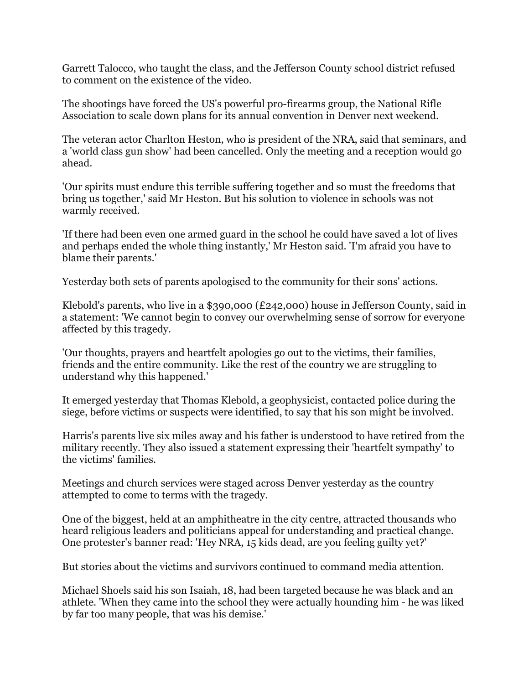Garrett Talocco, who taught the class, and the Jefferson County school district refused to comment on the existence of the video.

The shootings have forced the US's powerful pro-firearms group, the National Rifle Association to scale down plans for its annual convention in Denver next weekend.

The veteran actor Charlton Heston, who is president of the NRA, said that seminars, and a 'world class gun show' had been cancelled. Only the meeting and a reception would go ahead.

'Our spirits must endure this terrible suffering together and so must the freedoms that bring us together,' said Mr Heston. But his solution to violence in schools was not warmly received.

'If there had been even one armed guard in the school he could have saved a lot of lives and perhaps ended the whole thing instantly,' Mr Heston said. 'I'm afraid you have to blame their parents.'

Yesterday both sets of parents apologised to the community for their sons' actions.

Klebold's parents, who live in a \$390,000 (£242,000) house in Jefferson County, said in a statement: 'We cannot begin to convey our overwhelming sense of sorrow for everyone affected by this tragedy.

'Our thoughts, prayers and heartfelt apologies go out to the victims, their families, friends and the entire community. Like the rest of the country we are struggling to understand why this happened.'

It emerged yesterday that Thomas Klebold, a geophysicist, contacted police during the siege, before victims or suspects were identified, to say that his son might be involved.

Harris's parents live six miles away and his father is understood to have retired from the military recently. They also issued a statement expressing their 'heartfelt sympathy' to the victims' families.

Meetings and church services were staged across Denver yesterday as the country attempted to come to terms with the tragedy.

One of the biggest, held at an amphitheatre in the city centre, attracted thousands who heard religious leaders and politicians appeal for understanding and practical change. One protester's banner read: 'Hey NRA, 15 kids dead, are you feeling guilty yet?'

But stories about the victims and survivors continued to command media attention.

Michael Shoels said his son Isaiah, 18, had been targeted because he was black and an athlete. 'When they came into the school they were actually hounding him - he was liked by far too many people, that was his demise.'